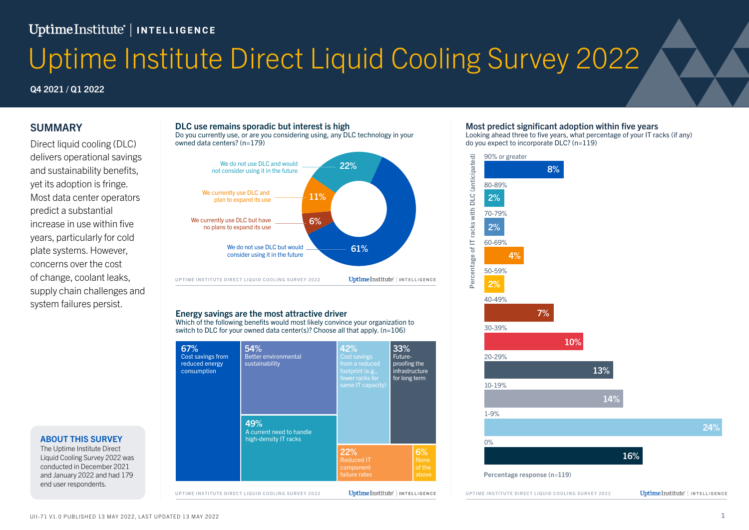## UptimeInstitute<sup>'</sup> | INTELLIGENCE

# Uptime Institute Direct Liquid Cooling Survey 2022

#### Q4 2021 / Q1 2022

#### SUMMARY DLC use remains sporadic, but interest is high

Direct liquid cooling (DLC) delivers operational savings and sustainability benefits, yet its adoption is fringe. Most data center operators predict a substantial increase in use within five years, particularly for cold plate systems. However, concerns over the cost of change, coolant leaks, supply chain challenges and system failures persist.

#### ABOUT THIS SURVEY

The Uptime Institute Direct Liquid Cooling Survey 2022 was conducted in December 2021 and January 2022 and had 179 end user respondents.

#### DLC use remains sporadic but interest is high

Do you currently use, or are you considering using, any DLC technology in your owned data centers? (n=179)



#### Energy savings are the most attractive driver

Which of the following benefits would most likely convince your organization to switch to DLC for your owned data center(s)? Choose all that apply. (n=106)



#### Most predict significant adoption within five years

Looking ahead three to five years, what percentage of your IT racks (if any) do you expect to incorporate DLC? (n=119)